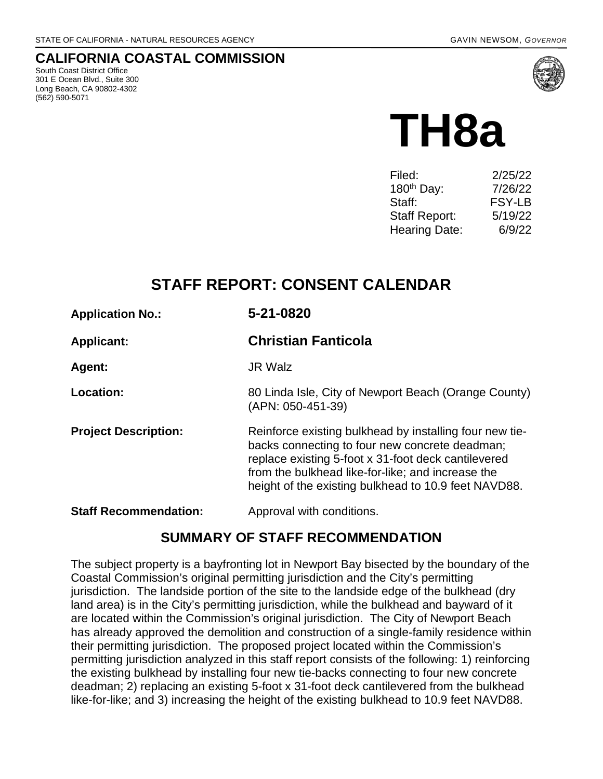## **CALIFORNIA COASTAL COMMISSION**

South Coast District Office 301 E Ocean Blvd., Suite 300 Long Beach, CA 90802-4302 (562) 590-5071



# **TH8a**

| Filed:                 | 2/25/22 |
|------------------------|---------|
| 180 <sup>th</sup> Day: | 7/26/22 |
| Staff:                 | FSY-LB  |
| Staff Report:          | 5/19/22 |
| <b>Hearing Date:</b>   | 6/9/22  |

# **STAFF REPORT: CONSENT CALENDAR**

| <b>Applicant:</b> | <b>Christian Fanticola</b> |
|-------------------|----------------------------|
|                   |                            |

**Agent:** JR Walz

**Location:** 80 Linda Isle, City of Newport Beach (Orange County) (APN: 050-451-39)

**Project Description:** Reinforce existing bulkhead by installing four new tiebacks connecting to four new concrete deadman; replace existing 5-foot x 31-foot deck cantilevered from the bulkhead like-for-like; and increase the height of the existing bulkhead to 10.9 feet NAVD88.

**Staff Recommendation:** Approval with conditions.

## **SUMMARY OF STAFF RECOMMENDATION**

The subject property is a bayfronting lot in Newport Bay bisected by the boundary of the Coastal Commission's original permitting jurisdiction and the City's permitting jurisdiction. The landside portion of the site to the landside edge of the bulkhead (dry land area) is in the City's permitting jurisdiction, while the bulkhead and bayward of it are located within the Commission's original jurisdiction. The City of Newport Beach has already approved the demolition and construction of a single-family residence within their permitting jurisdiction. The proposed project located within the Commission's permitting jurisdiction analyzed in this staff report consists of the following: 1) reinforcing the existing bulkhead by installing four new tie-backs connecting to four new concrete deadman; 2) replacing an existing 5-foot x 31-foot deck cantilevered from the bulkhead like-for-like; and 3) increasing the height of the existing bulkhead to 10.9 feet NAVD88.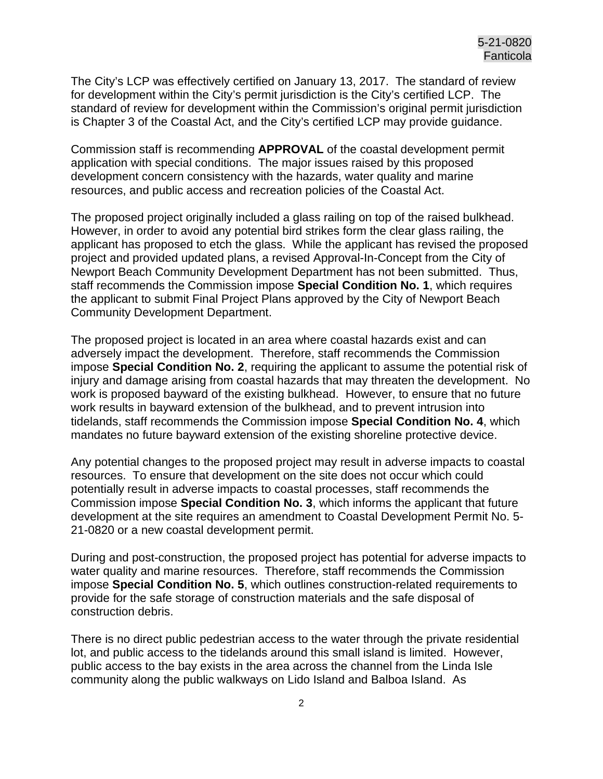The City's LCP was effectively certified on January 13, 2017. The standard of review for development within the City's permit jurisdiction is the City's certified LCP. The standard of review for development within the Commission's original permit jurisdiction is Chapter 3 of the Coastal Act, and the City's certified LCP may provide guidance.

Commission staff is recommending **APPROVAL** of the coastal development permit application with special conditions. The major issues raised by this proposed development concern consistency with the hazards, water quality and marine resources, and public access and recreation policies of the Coastal Act.

The proposed project originally included a glass railing on top of the raised bulkhead. However, in order to avoid any potential bird strikes form the clear glass railing, the applicant has proposed to etch the glass. While the applicant has revised the proposed project and provided updated plans, a revised Approval-In-Concept from the City of Newport Beach Community Development Department has not been submitted. Thus, staff recommends the Commission impose **Special Condition No. 1**, which requires the applicant to submit Final Project Plans approved by the City of Newport Beach Community Development Department.

The proposed project is located in an area where coastal hazards exist and can adversely impact the development. Therefore, staff recommends the Commission impose **Special Condition No. 2**, requiring the applicant to assume the potential risk of injury and damage arising from coastal hazards that may threaten the development. No work is proposed bayward of the existing bulkhead. However, to ensure that no future work results in bayward extension of the bulkhead, and to prevent intrusion into tidelands, staff recommends the Commission impose **Special Condition No. 4**, which mandates no future bayward extension of the existing shoreline protective device.

Any potential changes to the proposed project may result in adverse impacts to coastal resources. To ensure that development on the site does not occur which could potentially result in adverse impacts to coastal processes, staff recommends the Commission impose **Special Condition No. 3**, which informs the applicant that future development at the site requires an amendment to Coastal Development Permit No. 5- 21-0820 or a new coastal development permit.

During and post-construction, the proposed project has potential for adverse impacts to water quality and marine resources. Therefore, staff recommends the Commission impose **Special Condition No. 5**, which outlines construction-related requirements to provide for the safe storage of construction materials and the safe disposal of construction debris.

There is no direct public pedestrian access to the water through the private residential lot, and public access to the tidelands around this small island is limited. However, public access to the bay exists in the area across the channel from the Linda Isle community along the public walkways on Lido Island and Balboa Island. As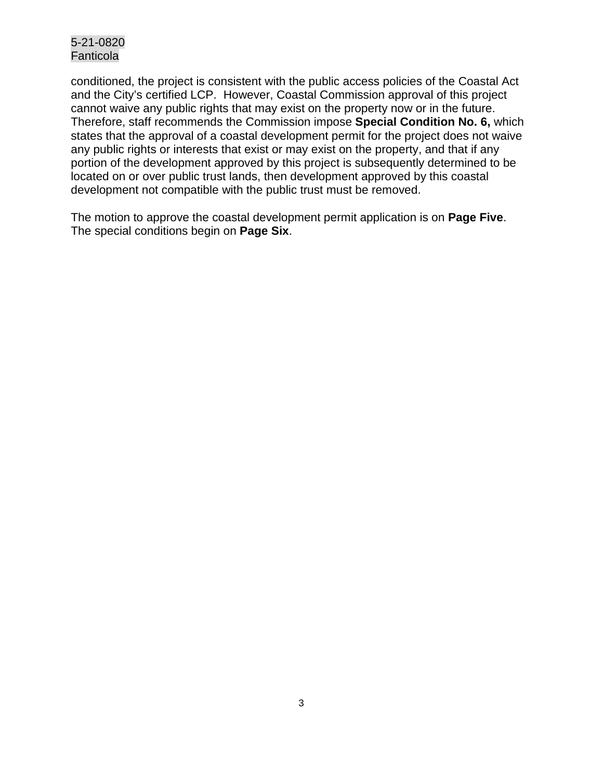conditioned, the project is consistent with the public access policies of the Coastal Act and the City's certified LCP. However, Coastal Commission approval of this project cannot waive any public rights that may exist on the property now or in the future. Therefore, staff recommends the Commission impose **Special Condition No. 6,** which states that the approval of a coastal development permit for the project does not waive any public rights or interests that exist or may exist on the property, and that if any portion of the development approved by this project is subsequently determined to be located on or over public trust lands, then development approved by this coastal development not compatible with the public trust must be removed.

The motion to approve the coastal development permit application is on **Page Five**. The special conditions begin on **Page Six**.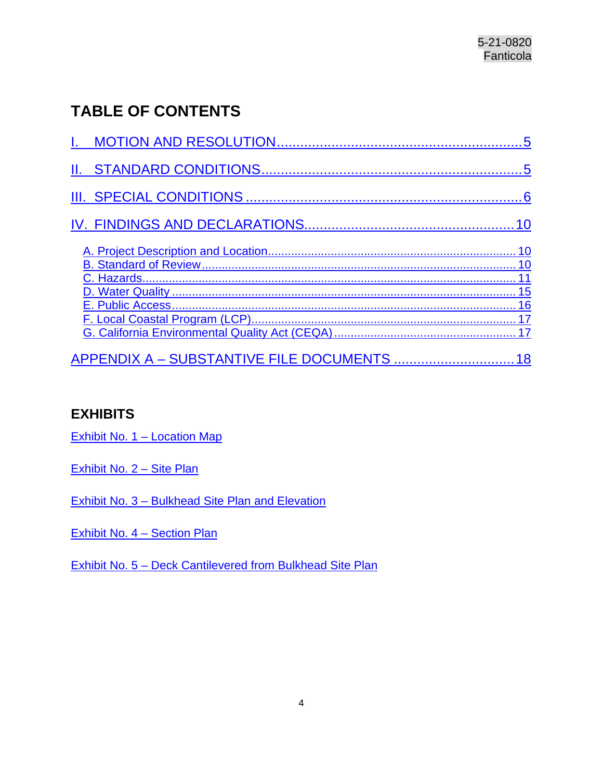# **TABLE OF CONTENTS**

## **EXHIBITS**

Exhibit No. 1 - Location Map

[Exhibit No. 2 – Site](https://documents.coastal.ca.gov/reports/2022/6/Th8a/Th8a-6-2022-exhibits.pdf) Plan

[Exhibit No. 3 – Bulkhead Site Plan and Elevation](https://documents.coastal.ca.gov/reports/2022/6/Th8a/Th8a-6-2022-exhibits.pdf)

Exhibit No. 4 - Section Plan

<span id="page-3-0"></span>[Exhibit No. 5 – Deck Cantilevered from Bulkhead Site Plan](https://documents.coastal.ca.gov/reports/2022/6/Th8a/Th8a-6-2022-exhibits.pdf)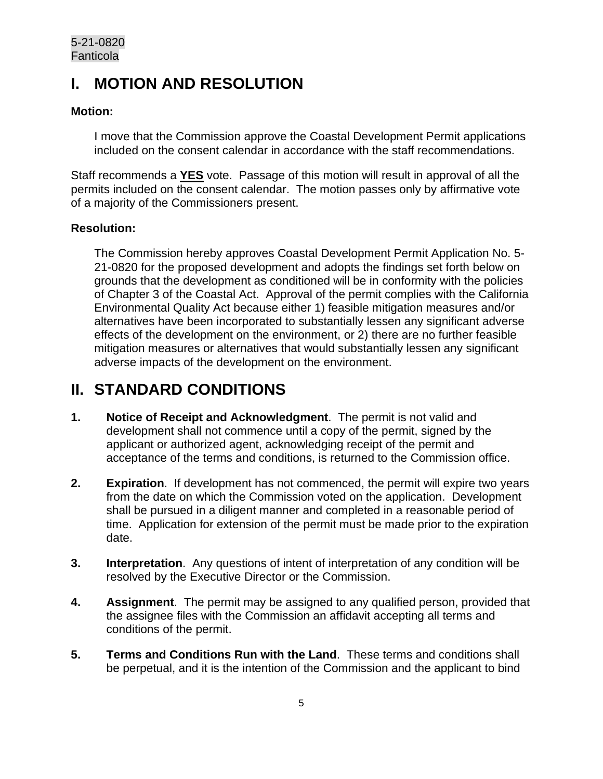# **I. MOTION AND RESOLUTION**

#### **Motion:**

I move that the Commission approve the Coastal Development Permit applications included on the consent calendar in accordance with the staff recommendations.

Staff recommends a **YES** vote. Passage of this motion will result in approval of all the permits included on the consent calendar. The motion passes only by affirmative vote of a majority of the Commissioners present.

#### **Resolution:**

The Commission hereby approves Coastal Development Permit Application No. 5- 21-0820 for the proposed development and adopts the findings set forth below on grounds that the development as conditioned will be in conformity with the policies of Chapter 3 of the Coastal Act. Approval of the permit complies with the California Environmental Quality Act because either 1) feasible mitigation measures and/or alternatives have been incorporated to substantially lessen any significant adverse effects of the development on the environment, or 2) there are no further feasible mitigation measures or alternatives that would substantially lessen any significant adverse impacts of the development on the environment.

# <span id="page-4-0"></span>**II. STANDARD CONDITIONS**

- **1. Notice of Receipt and Acknowledgment**. The permit is not valid and development shall not commence until a copy of the permit, signed by the applicant or authorized agent, acknowledging receipt of the permit and acceptance of the terms and conditions, is returned to the Commission office.
- **2. Expiration**. If development has not commenced, the permit will expire two years from the date on which the Commission voted on the application. Development shall be pursued in a diligent manner and completed in a reasonable period of time. Application for extension of the permit must be made prior to the expiration date.
- **3. Interpretation**. Any questions of intent of interpretation of any condition will be resolved by the Executive Director or the Commission.
- **4. Assignment**. The permit may be assigned to any qualified person, provided that the assignee files with the Commission an affidavit accepting all terms and conditions of the permit.
- **5. Terms and Conditions Run with the Land**. These terms and conditions shall be perpetual, and it is the intention of the Commission and the applicant to bind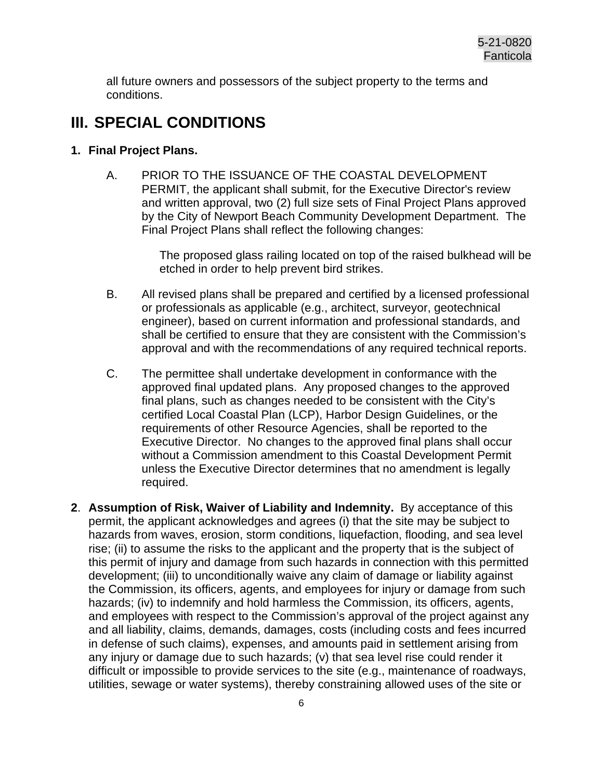all future owners and possessors of the subject property to the terms and conditions.

## <span id="page-5-0"></span>**III. SPECIAL CONDITIONS**

#### **1. Final Project Plans.**

A. PRIOR TO THE ISSUANCE OF THE COASTAL DEVELOPMENT PERMIT, the applicant shall submit, for the Executive Director's review and written approval, two (2) full size sets of Final Project Plans approved by the City of Newport Beach Community Development Department. The Final Project Plans shall reflect the following changes:

> The proposed glass railing located on top of the raised bulkhead will be etched in order to help prevent bird strikes.

- B. All revised plans shall be prepared and certified by a licensed professional or professionals as applicable (e.g., architect, surveyor, geotechnical engineer), based on current information and professional standards, and shall be certified to ensure that they are consistent with the Commission's approval and with the recommendations of any required technical reports.
- C. The permittee shall undertake development in conformance with the approved final updated plans. Any proposed changes to the approved final plans, such as changes needed to be consistent with the City's certified Local Coastal Plan (LCP), Harbor Design Guidelines, or the requirements of other Resource Agencies, shall be reported to the Executive Director. No changes to the approved final plans shall occur without a Commission amendment to this Coastal Development Permit unless the Executive Director determines that no amendment is legally required.
- **2**. **Assumption of Risk, Waiver of Liability and Indemnity.** By acceptance of this permit, the applicant acknowledges and agrees (i) that the site may be subject to hazards from waves, erosion, storm conditions, liquefaction, flooding, and sea level rise; (ii) to assume the risks to the applicant and the property that is the subject of this permit of injury and damage from such hazards in connection with this permitted development; (iii) to unconditionally waive any claim of damage or liability against the Commission, its officers, agents, and employees for injury or damage from such hazards; (iv) to indemnify and hold harmless the Commission, its officers, agents, and employees with respect to the Commission's approval of the project against any and all liability, claims, demands, damages, costs (including costs and fees incurred in defense of such claims), expenses, and amounts paid in settlement arising from any injury or damage due to such hazards; (v) that sea level rise could render it difficult or impossible to provide services to the site (e.g., maintenance of roadways, utilities, sewage or water systems), thereby constraining allowed uses of the site or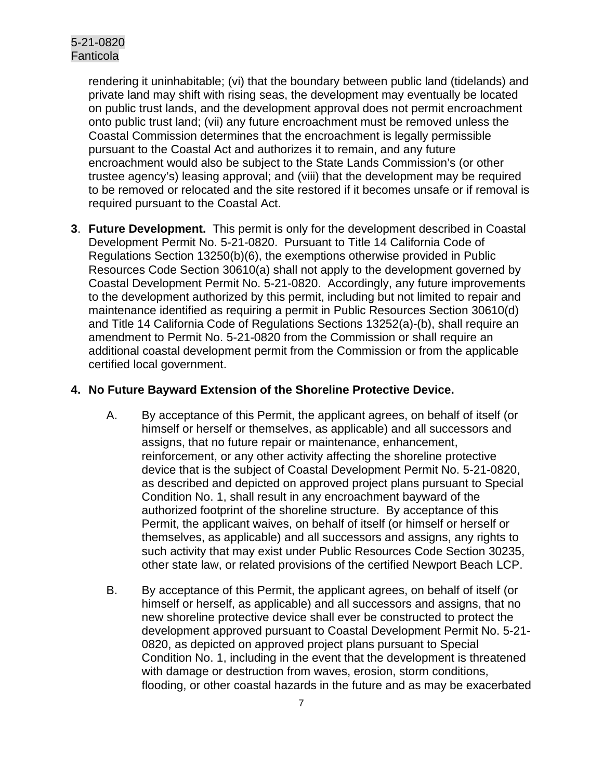rendering it uninhabitable; (vi) that the boundary between public land (tidelands) and private land may shift with rising seas, the development may eventually be located on public trust lands, and the development approval does not permit encroachment onto public trust land; (vii) any future encroachment must be removed unless the Coastal Commission determines that the encroachment is legally permissible pursuant to the Coastal Act and authorizes it to remain, and any future encroachment would also be subject to the State Lands Commission's (or other trustee agency's) leasing approval; and (viii) that the development may be required to be removed or relocated and the site restored if it becomes unsafe or if removal is required pursuant to the Coastal Act.

**3**. **Future Development.** This permit is only for the development described in Coastal Development Permit No. 5-21-0820. Pursuant to Title 14 California Code of Regulations Section 13250(b)(6), the exemptions otherwise provided in Public Resources Code Section 30610(a) shall not apply to the development governed by Coastal Development Permit No. 5-21-0820. Accordingly, any future improvements to the development authorized by this permit, including but not limited to repair and maintenance identified as requiring a permit in Public Resources Section 30610(d) and Title 14 California Code of Regulations Sections 13252(a)-(b), shall require an amendment to Permit No. 5-21-0820 from the Commission or shall require an additional coastal development permit from the Commission or from the applicable certified local government.

#### **4. No Future Bayward Extension of the Shoreline Protective Device.**

- A. By acceptance of this Permit, the applicant agrees, on behalf of itself (or himself or herself or themselves, as applicable) and all successors and assigns, that no future repair or maintenance, enhancement, reinforcement, or any other activity affecting the shoreline protective device that is the subject of Coastal Development Permit No. 5-21-0820, as described and depicted on approved project plans pursuant to Special Condition No. 1, shall result in any encroachment bayward of the authorized footprint of the shoreline structure. By acceptance of this Permit, the applicant waives, on behalf of itself (or himself or herself or themselves, as applicable) and all successors and assigns, any rights to such activity that may exist under Public Resources Code Section 30235, other state law, or related provisions of the certified Newport Beach LCP.
- B. By acceptance of this Permit, the applicant agrees, on behalf of itself (or himself or herself, as applicable) and all successors and assigns, that no new shoreline protective device shall ever be constructed to protect the development approved pursuant to Coastal Development Permit No. 5-21- 0820, as depicted on approved project plans pursuant to Special Condition No. 1, including in the event that the development is threatened with damage or destruction from waves, erosion, storm conditions, flooding, or other coastal hazards in the future and as may be exacerbated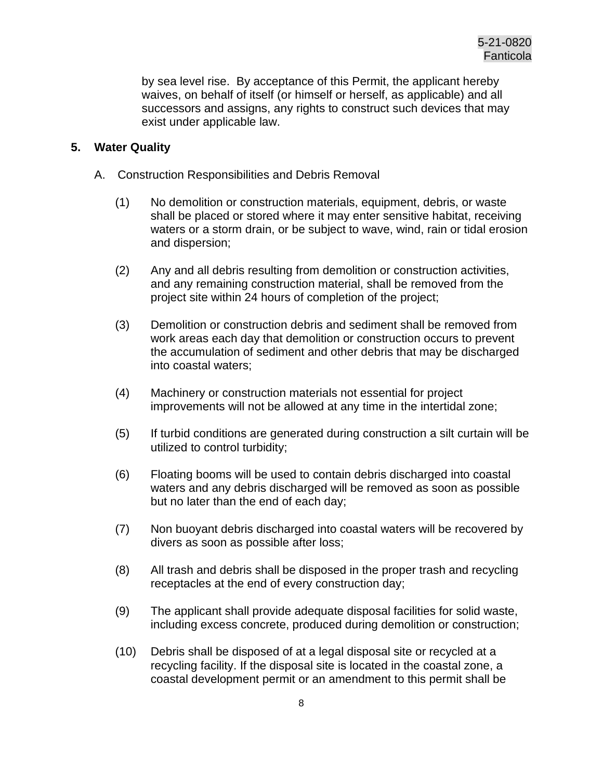by sea level rise. By acceptance of this Permit, the applicant hereby waives, on behalf of itself (or himself or herself, as applicable) and all successors and assigns, any rights to construct such devices that may exist under applicable law.

#### **5. Water Quality**

- A. Construction Responsibilities and Debris Removal
	- (1) No demolition or construction materials, equipment, debris, or waste shall be placed or stored where it may enter sensitive habitat, receiving waters or a storm drain, or be subject to wave, wind, rain or tidal erosion and dispersion;
	- (2) Any and all debris resulting from demolition or construction activities, and any remaining construction material, shall be removed from the project site within 24 hours of completion of the project;
	- (3) Demolition or construction debris and sediment shall be removed from work areas each day that demolition or construction occurs to prevent the accumulation of sediment and other debris that may be discharged into coastal waters;
	- (4) Machinery or construction materials not essential for project improvements will not be allowed at any time in the intertidal zone;
	- (5) If turbid conditions are generated during construction a silt curtain will be utilized to control turbidity;
	- (6) Floating booms will be used to contain debris discharged into coastal waters and any debris discharged will be removed as soon as possible but no later than the end of each day;
	- (7) Non buoyant debris discharged into coastal waters will be recovered by divers as soon as possible after loss;
	- (8) All trash and debris shall be disposed in the proper trash and recycling receptacles at the end of every construction day;
	- (9) The applicant shall provide adequate disposal facilities for solid waste, including excess concrete, produced during demolition or construction;
	- (10) Debris shall be disposed of at a legal disposal site or recycled at a recycling facility. If the disposal site is located in the coastal zone, a coastal development permit or an amendment to this permit shall be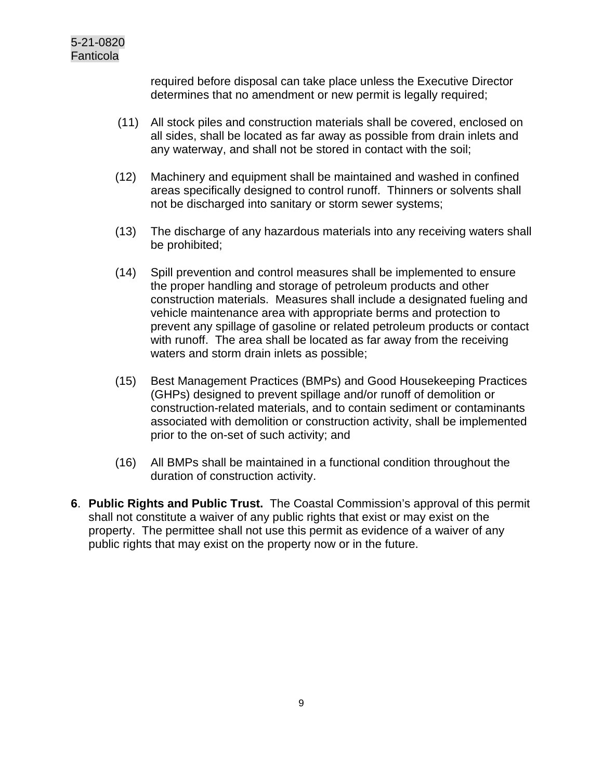required before disposal can take place unless the Executive Director determines that no amendment or new permit is legally required;

- (11) All stock piles and construction materials shall be covered, enclosed on all sides, shall be located as far away as possible from drain inlets and any waterway, and shall not be stored in contact with the soil;
- (12) Machinery and equipment shall be maintained and washed in confined areas specifically designed to control runoff. Thinners or solvents shall not be discharged into sanitary or storm sewer systems;
- (13) The discharge of any hazardous materials into any receiving waters shall be prohibited;
- (14) Spill prevention and control measures shall be implemented to ensure the proper handling and storage of petroleum products and other construction materials. Measures shall include a designated fueling and vehicle maintenance area with appropriate berms and protection to prevent any spillage of gasoline or related petroleum products or contact with runoff. The area shall be located as far away from the receiving waters and storm drain inlets as possible;
- (15) Best Management Practices (BMPs) and Good Housekeeping Practices (GHPs) designed to prevent spillage and/or runoff of demolition or construction-related materials, and to contain sediment or contaminants associated with demolition or construction activity, shall be implemented prior to the on-set of such activity; and
- (16) All BMPs shall be maintained in a functional condition throughout the duration of construction activity.
- **6**. **Public Rights and Public Trust.** The Coastal Commission's approval of this permit shall not constitute a waiver of any public rights that exist or may exist on the property. The permittee shall not use this permit as evidence of a waiver of any public rights that may exist on the property now or in the future.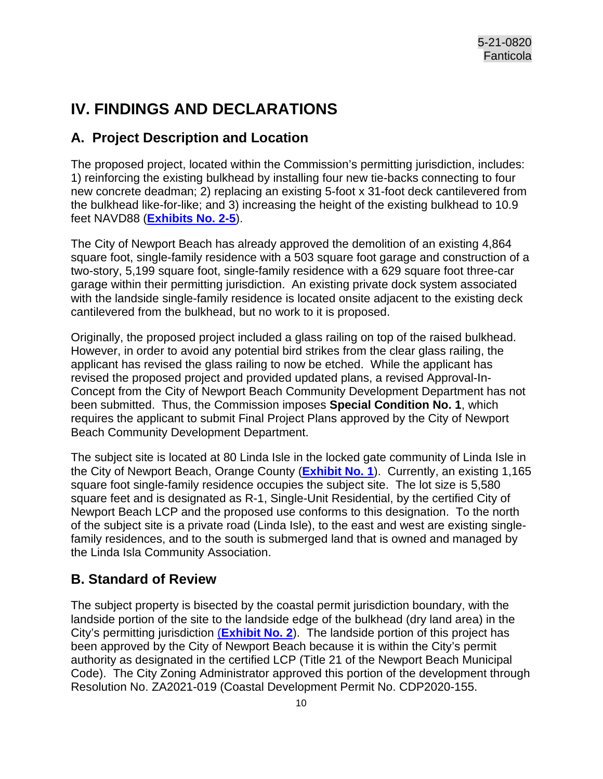# <span id="page-9-0"></span>**IV. FINDINGS AND DECLARATIONS**

## <span id="page-9-1"></span>**A. Project Description and Location**

The proposed project, located within the Commission's permitting jurisdiction, includes: 1) reinforcing the existing bulkhead by installing four new tie-backs connecting to four new concrete deadman; 2) replacing an existing 5-foot x 31-foot deck cantilevered from the bulkhead like-for-like; and 3) increasing the height of the existing bulkhead to 10.9 feet NAVD88 (**[Exhibits No. 2-5](https://documents.coastal.ca.gov/reports/2022/6/Th8a/Th8a-6-2022-exhibits.pdf)**).

The City of Newport Beach has already approved the demolition of an existing 4,864 square foot, single-family residence with a 503 square foot garage and construction of a two-story, 5,199 square foot, single-family residence with a 629 square foot three-car garage within their permitting jurisdiction. An existing private dock system associated with the landside single-family residence is located onsite adjacent to the existing deck cantilevered from the bulkhead, but no work to it is proposed.

Originally, the proposed project included a glass railing on top of the raised bulkhead. However, in order to avoid any potential bird strikes from the clear glass railing, the applicant has revised the glass railing to now be etched. While the applicant has revised the proposed project and provided updated plans, a revised Approval-In-Concept from the City of Newport Beach Community Development Department has not been submitted. Thus, the Commission imposes **Special Condition No. 1**, which requires the applicant to submit Final Project Plans approved by the City of Newport Beach Community Development Department.

The subject site is located at 80 Linda Isle in the locked gate community of Linda Isle in the City of Newport Beach, Orange County (**[Exhibit No. 1](https://documents.coastal.ca.gov/reports/2022/6/Th8a/Th8a-6-2022-exhibits.pdf)**). Currently, an existing 1,165 square foot single-family residence occupies the subject site. The lot size is 5,580 square feet and is designated as R-1, Single-Unit Residential, by the certified City of Newport Beach LCP and the proposed use conforms to this designation. To the north of the subject site is a private road (Linda Isle), to the east and west are existing singlefamily residences, and to the south is submerged land that is owned and managed by the Linda Isla Community Association.

## <span id="page-9-2"></span>**B. Standard of Review**

<span id="page-9-3"></span>The subject property is bisected by the coastal permit jurisdiction boundary, with the landside portion of the site to the landside edge of the bulkhead (dry land area) in the City's permitting jurisdiction (**[Exhibit No. 2](https://documents.coastal.ca.gov/reports/2022/6/Th8a/Th8a-6-2022-exhibits.pdf)**). The landside portion of this project has been approved by the City of Newport Beach because it is within the City's permit authority as designated in the certified LCP (Title 21 of the Newport Beach Municipal Code). The City Zoning Administrator approved this portion of the development through Resolution No. ZA2021-019 (Coastal Development Permit No. CDP2020-155.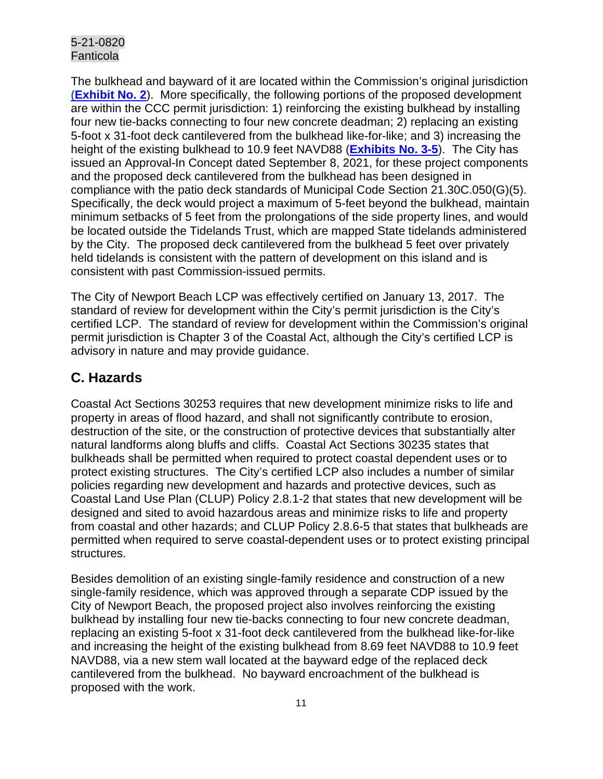The bulkhead and bayward of it are located within the Commission's original jurisdiction (**[Exhibit No. 2](https://documents.coastal.ca.gov/reports/2022/6/Th8a/Th8a-6-2022-exhibits.pdf)**). More specifically, the following portions of the proposed development are within the CCC permit jurisdiction: 1) reinforcing the existing bulkhead by installing four new tie-backs connecting to four new concrete deadman; 2) replacing an existing 5-foot x 31-foot deck cantilevered from the bulkhead like-for-like; and 3) increasing the height of the existing bulkhead to 10.9 feet NAVD88 (**[Exhibits No. 3-5](https://documents.coastal.ca.gov/reports/2022/6/Th8a/Th8a-6-2022-exhibits.pdf)**). The City has issued an Approval-In Concept dated September 8, 2021, for these project components and the proposed deck cantilevered from the bulkhead has been designed in compliance with the patio deck standards of Municipal Code Section 21.30C.050(G)(5). Specifically, the deck would project a maximum of 5-feet beyond the bulkhead, maintain minimum setbacks of 5 feet from the prolongations of the side property lines, and would be located outside the Tidelands Trust, which are mapped State tidelands administered by the City. The proposed deck cantilevered from the bulkhead 5 feet over privately held tidelands is consistent with the pattern of development on this island and is consistent with past Commission-issued permits.

The City of Newport Beach LCP was effectively certified on January 13, 2017. The standard of review for development within the City's permit jurisdiction is the City's certified LCP. The standard of review for development within the Commission's original permit jurisdiction is Chapter 3 of the Coastal Act, although the City's certified LCP is advisory in nature and may provide guidance.

## **C. Hazards**

Coastal Act Sections 30253 requires that new development minimize risks to life and property in areas of flood hazard, and shall not significantly contribute to erosion, destruction of the site, or the construction of protective devices that substantially alter natural landforms along bluffs and cliffs. Coastal Act Sections 30235 states that bulkheads shall be permitted when required to protect coastal dependent uses or to protect existing structures. The City's certified LCP also includes a number of similar policies regarding new development and hazards and protective devices, such as Coastal Land Use Plan (CLUP) Policy 2.8.1-2 that states that new development will be designed and sited to avoid hazardous areas and minimize risks to life and property from coastal and other hazards; and CLUP Policy 2.8.6-5 that states that bulkheads are permitted when required to serve coastal-dependent uses or to protect existing principal structures.

Besides demolition of an existing single-family residence and construction of a new single-family residence, which was approved through a separate CDP issued by the City of Newport Beach, the proposed project also involves reinforcing the existing bulkhead by installing four new tie-backs connecting to four new concrete deadman, replacing an existing 5-foot x 31-foot deck cantilevered from the bulkhead like-for-like and increasing the height of the existing bulkhead from 8.69 feet NAVD88 to 10.9 feet NAVD88, via a new stem wall located at the bayward edge of the replaced deck cantilevered from the bulkhead. No bayward encroachment of the bulkhead is proposed with the work.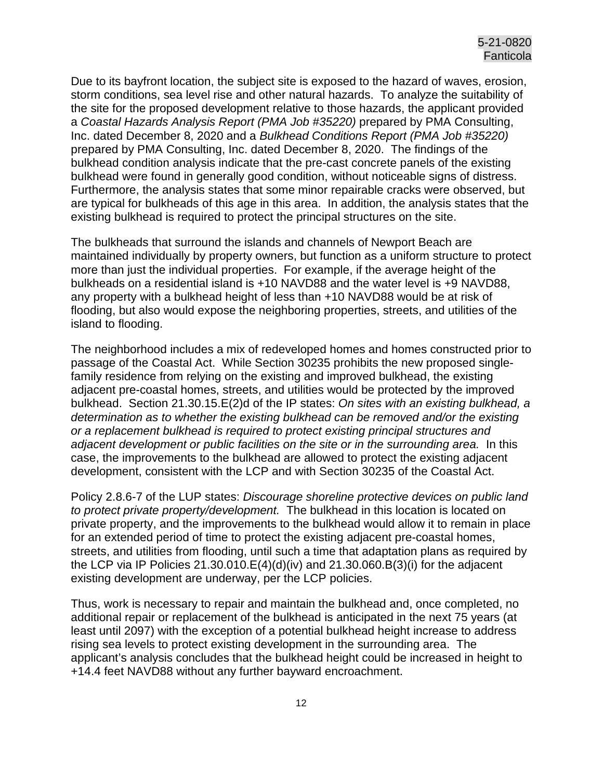Due to its bayfront location, the subject site is exposed to the hazard of waves, erosion, storm conditions, sea level rise and other natural hazards. To analyze the suitability of the site for the proposed development relative to those hazards, the applicant provided a *Coastal Hazards Analysis Report (PMA Job #35220)* prepared by PMA Consulting, Inc. dated December 8, 2020 and a *Bulkhead Conditions Report (PMA Job #35220)* prepared by PMA Consulting, Inc. dated December 8, 2020. The findings of the bulkhead condition analysis indicate that the pre-cast concrete panels of the existing bulkhead were found in generally good condition, without noticeable signs of distress. Furthermore, the analysis states that some minor repairable cracks were observed, but are typical for bulkheads of this age in this area. In addition, the analysis states that the existing bulkhead is required to protect the principal structures on the site.

The bulkheads that surround the islands and channels of Newport Beach are maintained individually by property owners, but function as a uniform structure to protect more than just the individual properties. For example, if the average height of the bulkheads on a residential island is +10 NAVD88 and the water level is +9 NAVD88, any property with a bulkhead height of less than +10 NAVD88 would be at risk of flooding, but also would expose the neighboring properties, streets, and utilities of the island to flooding.

The neighborhood includes a mix of redeveloped homes and homes constructed prior to passage of the Coastal Act. While Section 30235 prohibits the new proposed singlefamily residence from relying on the existing and improved bulkhead, the existing adjacent pre-coastal homes, streets, and utilities would be protected by the improved bulkhead. Section 21.30.15.E(2)d of the IP states: *On sites with an existing bulkhead, a determination as to whether the existing bulkhead can be removed and/or the existing or a replacement bulkhead is required to protect existing principal structures and adjacent development or public facilities on the site or in the surrounding area.* In this case, the improvements to the bulkhead are allowed to protect the existing adjacent development, consistent with the LCP and with Section 30235 of the Coastal Act.

Policy 2.8.6-7 of the LUP states: *Discourage shoreline protective devices on public land to protect private property/development.* The bulkhead in this location is located on private property, and the improvements to the bulkhead would allow it to remain in place for an extended period of time to protect the existing adjacent pre-coastal homes, streets, and utilities from flooding, until such a time that adaptation plans as required by the LCP via IP Policies 21.30.010.E(4)(d)(iv) and 21.30.060.B(3)(i) for the adjacent existing development are underway, per the LCP policies.

Thus, work is necessary to repair and maintain the bulkhead and, once completed, no additional repair or replacement of the bulkhead is anticipated in the next 75 years (at least until 2097) with the exception of a potential bulkhead height increase to address rising sea levels to protect existing development in the surrounding area. The applicant's analysis concludes that the bulkhead height could be increased in height to +14.4 feet NAVD88 without any further bayward encroachment.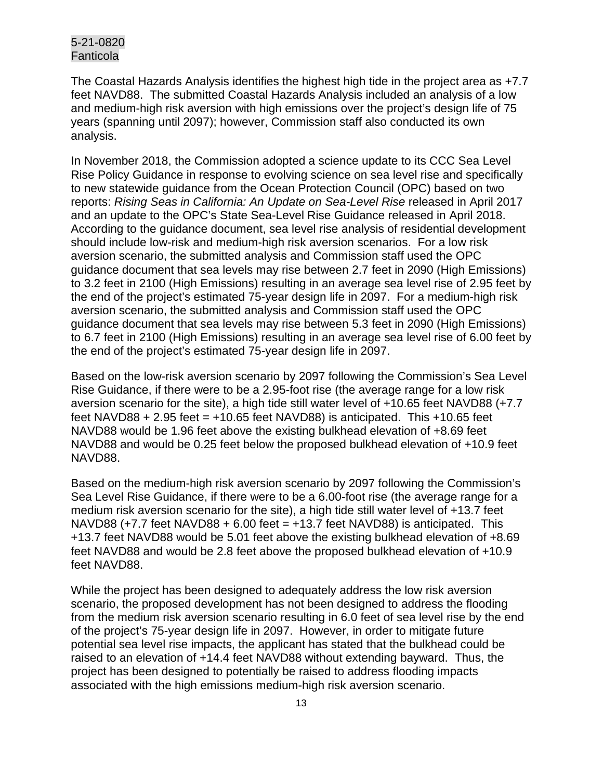The Coastal Hazards Analysis identifies the highest high tide in the project area as +7.7 feet NAVD88. The submitted Coastal Hazards Analysis included an analysis of a low and medium-high risk aversion with high emissions over the project's design life of 75 years (spanning until 2097); however, Commission staff also conducted its own analysis.

In November 2018, the Commission adopted a science update to its CCC Sea Level Rise Policy Guidance in response to evolving science on sea level rise and specifically to new statewide guidance from the Ocean Protection Council (OPC) based on two reports: *Rising Seas in California: An Update on Sea-Level Rise* released in April 2017 and an update to the OPC's State Sea-Level Rise Guidance released in April 2018. According to the guidance document, sea level rise analysis of residential development should include low-risk and medium-high risk aversion scenarios. For a low risk aversion scenario, the submitted analysis and Commission staff used the OPC guidance document that sea levels may rise between 2.7 feet in 2090 (High Emissions) to 3.2 feet in 2100 (High Emissions) resulting in an average sea level rise of 2.95 feet by the end of the project's estimated 75-year design life in 2097. For a medium-high risk aversion scenario, the submitted analysis and Commission staff used the OPC guidance document that sea levels may rise between 5.3 feet in 2090 (High Emissions) to 6.7 feet in 2100 (High Emissions) resulting in an average sea level rise of 6.00 feet by the end of the project's estimated 75-year design life in 2097.

Based on the low-risk aversion scenario by 2097 following the Commission's Sea Level Rise Guidance, if there were to be a 2.95-foot rise (the average range for a low risk aversion scenario for the site), a high tide still water level of +10.65 feet NAVD88 (+7.7 feet NAVD88  $+ 2.95$  feet =  $+10.65$  feet NAVD88) is anticipated. This  $+10.65$  feet NAVD88 would be 1.96 feet above the existing bulkhead elevation of +8.69 feet NAVD88 and would be 0.25 feet below the proposed bulkhead elevation of +10.9 feet NAVD88.

Based on the medium-high risk aversion scenario by 2097 following the Commission's Sea Level Rise Guidance, if there were to be a 6.00-foot rise (the average range for a medium risk aversion scenario for the site), a high tide still water level of +13.7 feet  $NAVD88$  (+7.7 feet NAVD88 + 6.00 feet = +13.7 feet NAVD88) is anticipated. This +13.7 feet NAVD88 would be 5.01 feet above the existing bulkhead elevation of +8.69 feet NAVD88 and would be 2.8 feet above the proposed bulkhead elevation of +10.9 feet NAVD88.

While the project has been designed to adequately address the low risk aversion scenario, the proposed development has not been designed to address the flooding from the medium risk aversion scenario resulting in 6.0 feet of sea level rise by the end of the project's 75-year design life in 2097. However, in order to mitigate future potential sea level rise impacts, the applicant has stated that the bulkhead could be raised to an elevation of +14.4 feet NAVD88 without extending bayward. Thus, the project has been designed to potentially be raised to address flooding impacts associated with the high emissions medium-high risk aversion scenario.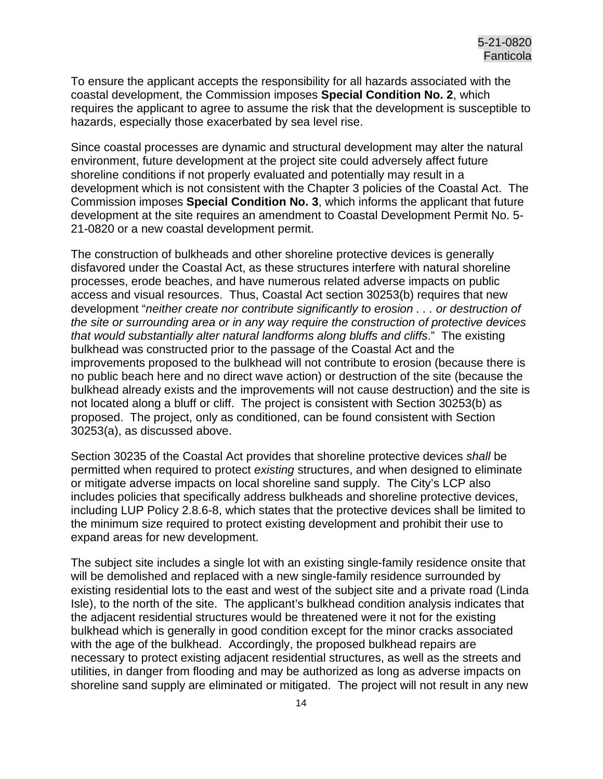To ensure the applicant accepts the responsibility for all hazards associated with the coastal development, the Commission imposes **Special Condition No. 2**, which requires the applicant to agree to assume the risk that the development is susceptible to hazards, especially those exacerbated by sea level rise.

Since coastal processes are dynamic and structural development may alter the natural environment, future development at the project site could adversely affect future shoreline conditions if not properly evaluated and potentially may result in a development which is not consistent with the Chapter 3 policies of the Coastal Act. The Commission imposes **Special Condition No. 3**, which informs the applicant that future development at the site requires an amendment to Coastal Development Permit No. 5- 21-0820 or a new coastal development permit.

The construction of bulkheads and other shoreline protective devices is generally disfavored under the Coastal Act, as these structures interfere with natural shoreline processes, erode beaches, and have numerous related adverse impacts on public access and visual resources. Thus, Coastal Act section 30253(b) requires that new development "*neither create nor contribute significantly to erosion . . . or destruction of the site or surrounding area or in any way require the construction of protective devices that would substantially alter natural landforms along bluffs and cliffs*." The existing bulkhead was constructed prior to the passage of the Coastal Act and the improvements proposed to the bulkhead will not contribute to erosion (because there is no public beach here and no direct wave action) or destruction of the site (because the bulkhead already exists and the improvements will not cause destruction) and the site is not located along a bluff or cliff. The project is consistent with Section 30253(b) as proposed. The project, only as conditioned, can be found consistent with Section 30253(a), as discussed above.

Section 30235 of the Coastal Act provides that shoreline protective devices *shall* be permitted when required to protect *existing* structures, and when designed to eliminate or mitigate adverse impacts on local shoreline sand supply. The City's LCP also includes policies that specifically address bulkheads and shoreline protective devices, including LUP Policy 2.8.6-8, which states that the protective devices shall be limited to the minimum size required to protect existing development and prohibit their use to expand areas for new development.

The subject site includes a single lot with an existing single-family residence onsite that will be demolished and replaced with a new single-family residence surrounded by existing residential lots to the east and west of the subject site and a private road (Linda Isle), to the north of the site. The applicant's bulkhead condition analysis indicates that the adjacent residential structures would be threatened were it not for the existing bulkhead which is generally in good condition except for the minor cracks associated with the age of the bulkhead. Accordingly, the proposed bulkhead repairs are necessary to protect existing adjacent residential structures, as well as the streets and utilities, in danger from flooding and may be authorized as long as adverse impacts on shoreline sand supply are eliminated or mitigated. The project will not result in any new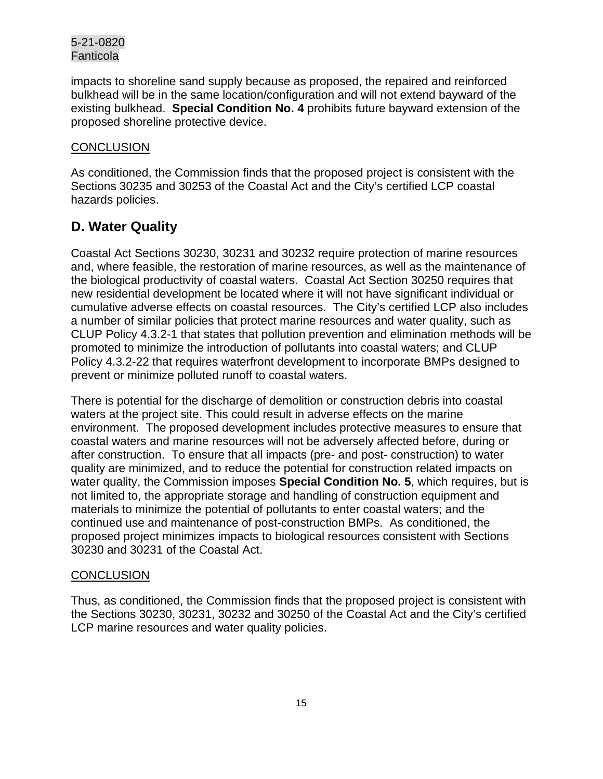impacts to shoreline sand supply because as proposed, the repaired and reinforced bulkhead will be in the same location/configuration and will not extend bayward of the existing bulkhead. **Special Condition No. 4** prohibits future bayward extension of the proposed shoreline protective device.

## **CONCLUSION**

As conditioned, the Commission finds that the proposed project is consistent with the Sections 30235 and 30253 of the Coastal Act and the City's certified LCP coastal hazards policies.

## <span id="page-14-0"></span>**D. Water Quality**

Coastal Act Sections 30230, 30231 and 30232 require protection of marine resources and, where feasible, the restoration of marine resources, as well as the maintenance of the biological productivity of coastal waters. Coastal Act Section 30250 requires that new residential development be located where it will not have significant individual or cumulative adverse effects on coastal resources. The City's certified LCP also includes a number of similar policies that protect marine resources and water quality, such as CLUP Policy 4.3.2-1 that states that pollution prevention and elimination methods will be promoted to minimize the introduction of pollutants into coastal waters; and CLUP Policy 4.3.2-22 that requires waterfront development to incorporate BMPs designed to prevent or minimize polluted runoff to coastal waters.

There is potential for the discharge of demolition or construction debris into coastal waters at the project site. This could result in adverse effects on the marine environment. The proposed development includes protective measures to ensure that coastal waters and marine resources will not be adversely affected before, during or after construction. To ensure that all impacts (pre- and post- construction) to water quality are minimized, and to reduce the potential for construction related impacts on water quality, the Commission imposes **Special Condition No. 5**, which requires, but is not limited to, the appropriate storage and handling of construction equipment and materials to minimize the potential of pollutants to enter coastal waters; and the continued use and maintenance of post-construction BMPs. As conditioned, the proposed project minimizes impacts to biological resources consistent with Sections 30230 and 30231 of the Coastal Act.

#### **CONCLUSION**

Thus, as conditioned, the Commission finds that the proposed project is consistent with the Sections 30230, 30231, 30232 and 30250 of the Coastal Act and the City's certified LCP marine resources and water quality policies.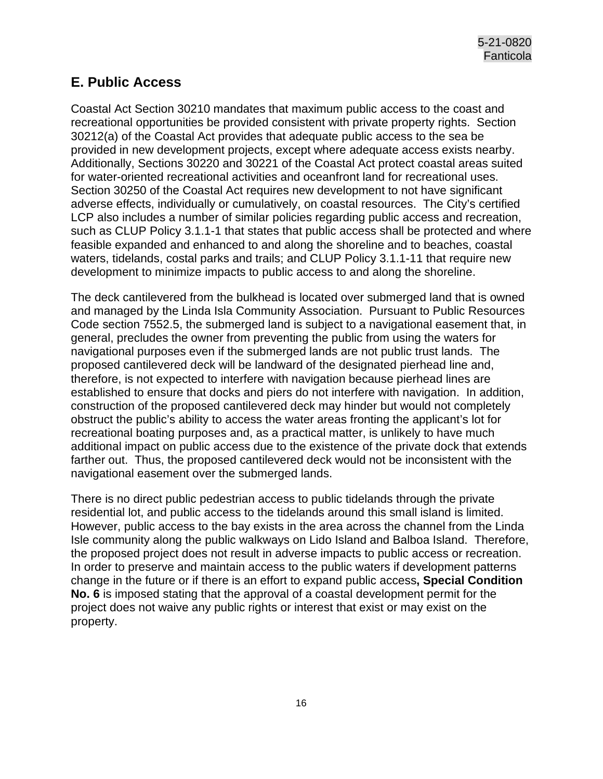## <span id="page-15-0"></span>**E. Public Access**

Coastal Act Section 30210 mandates that maximum public access to the coast and recreational opportunities be provided consistent with private property rights. Section 30212(a) of the Coastal Act provides that adequate public access to the sea be provided in new development projects, except where adequate access exists nearby. Additionally, Sections 30220 and 30221 of the Coastal Act protect coastal areas suited for water-oriented recreational activities and oceanfront land for recreational uses. Section 30250 of the Coastal Act requires new development to not have significant adverse effects, individually or cumulatively, on coastal resources. The City's certified LCP also includes a number of similar policies regarding public access and recreation, such as CLUP Policy 3.1.1-1 that states that public access shall be protected and where feasible expanded and enhanced to and along the shoreline and to beaches, coastal waters, tidelands, costal parks and trails; and CLUP Policy 3.1.1-11 that require new development to minimize impacts to public access to and along the shoreline.

The deck cantilevered from the bulkhead is located over submerged land that is owned and managed by the Linda Isla Community Association. Pursuant to Public Resources Code section 7552.5, the submerged land is subject to a navigational easement that, in general, precludes the owner from preventing the public from using the waters for navigational purposes even if the submerged lands are not public trust lands. The proposed cantilevered deck will be landward of the designated pierhead line and, therefore, is not expected to interfere with navigation because pierhead lines are established to ensure that docks and piers do not interfere with navigation. In addition, construction of the proposed cantilevered deck may hinder but would not completely obstruct the public's ability to access the water areas fronting the applicant's lot for recreational boating purposes and, as a practical matter, is unlikely to have much additional impact on public access due to the existence of the private dock that extends farther out. Thus, the proposed cantilevered deck would not be inconsistent with the navigational easement over the submerged lands.

There is no direct public pedestrian access to public tidelands through the private residential lot, and public access to the tidelands around this small island is limited. However, public access to the bay exists in the area across the channel from the Linda Isle community along the public walkways on Lido Island and Balboa Island. Therefore, the proposed project does not result in adverse impacts to public access or recreation. In order to preserve and maintain access to the public waters if development patterns change in the future or if there is an effort to expand public access**, Special Condition No. 6** is imposed stating that the approval of a coastal development permit for the project does not waive any public rights or interest that exist or may exist on the property.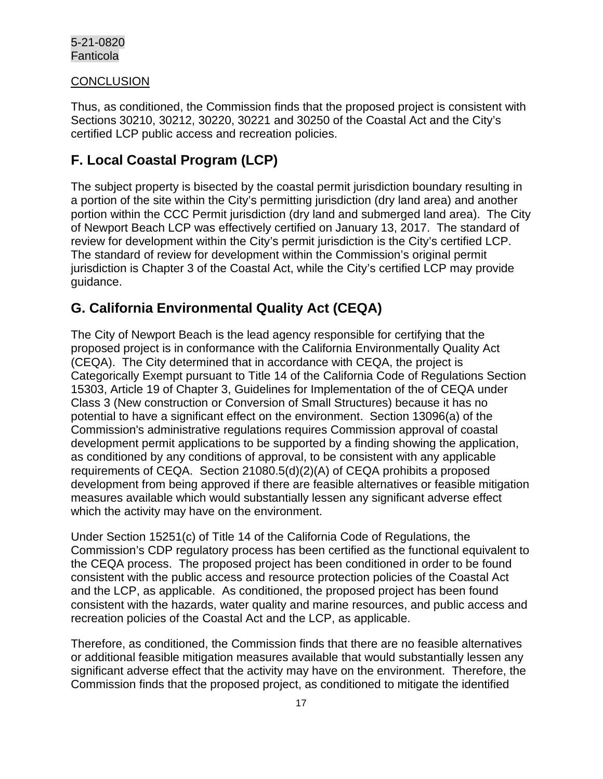#### **CONCLUSION**

Thus, as conditioned, the Commission finds that the proposed project is consistent with Sections 30210, 30212, 30220, 30221 and 30250 of the Coastal Act and the City's certified LCP public access and recreation policies.

## <span id="page-16-0"></span>**F. Local Coastal Program (LCP)**

The subject property is bisected by the coastal permit jurisdiction boundary resulting in a portion of the site within the City's permitting jurisdiction (dry land area) and another portion within the CCC Permit jurisdiction (dry land and submerged land area). The City of Newport Beach LCP was effectively certified on January 13, 2017. The standard of review for development within the City's permit jurisdiction is the City's certified LCP. The standard of review for development within the Commission's original permit jurisdiction is Chapter 3 of the Coastal Act, while the City's certified LCP may provide guidance.

## <span id="page-16-1"></span>**G. California Environmental Quality Act (CEQA)**

The City of Newport Beach is the lead agency responsible for certifying that the proposed project is in conformance with the California Environmentally Quality Act (CEQA). The City determined that in accordance with CEQA, the project is Categorically Exempt pursuant to Title 14 of the California Code of Regulations Section 15303, Article 19 of Chapter 3, Guidelines for Implementation of the of CEQA under Class 3 (New construction or Conversion of Small Structures) because it has no potential to have a significant effect on the environment. Section 13096(a) of the Commission's administrative regulations requires Commission approval of coastal development permit applications to be supported by a finding showing the application, as conditioned by any conditions of approval, to be consistent with any applicable requirements of CEQA. Section 21080.5(d)(2)(A) of CEQA prohibits a proposed development from being approved if there are feasible alternatives or feasible mitigation measures available which would substantially lessen any significant adverse effect which the activity may have on the environment.

Under Section 15251(c) of Title 14 of the California Code of Regulations, the Commission's CDP regulatory process has been certified as the functional equivalent to the CEQA process. The proposed project has been conditioned in order to be found consistent with the public access and resource protection policies of the Coastal Act and the LCP, as applicable. As conditioned, the proposed project has been found consistent with the hazards, water quality and marine resources, and public access and recreation policies of the Coastal Act and the LCP, as applicable.

Therefore, as conditioned, the Commission finds that there are no feasible alternatives or additional feasible mitigation measures available that would substantially lessen any significant adverse effect that the activity may have on the environment. Therefore, the Commission finds that the proposed project, as conditioned to mitigate the identified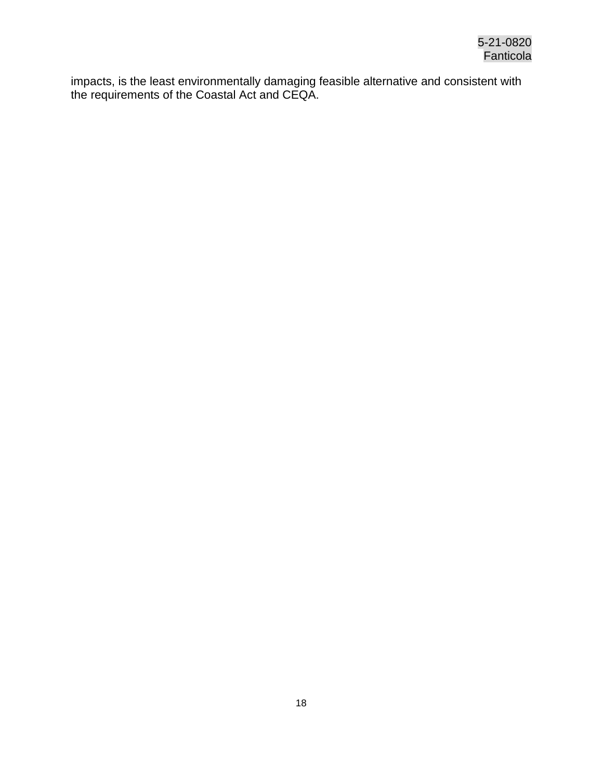<span id="page-17-0"></span>impacts, is the least environmentally damaging feasible alternative and consistent with the requirements of the Coastal Act and CEQA.